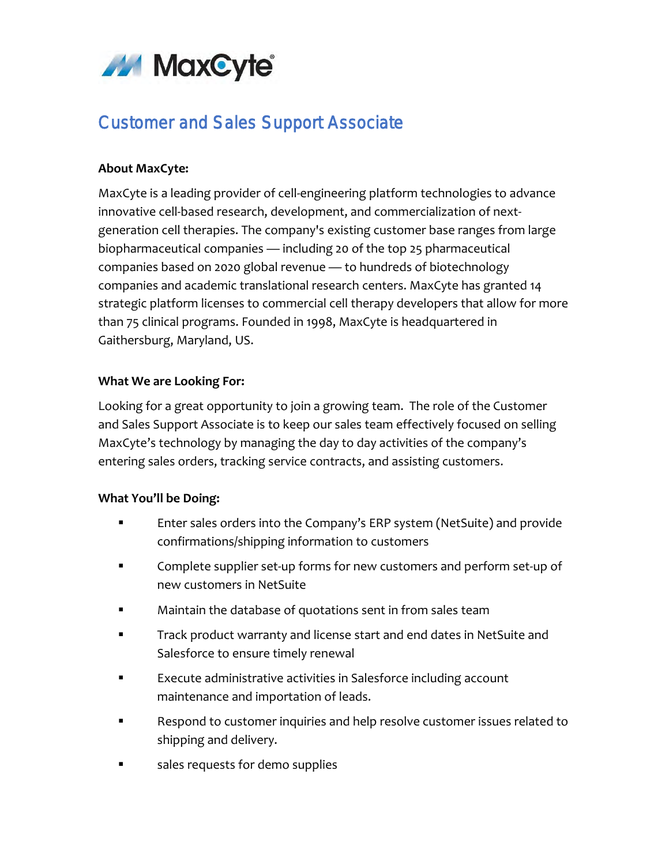

# Customer and Sales Support Associate

## **About MaxCyte:**

MaxCyte is a leading provider of cell-engineering platform technologies to advance innovative cell-based research, development, and commercialization of nextgeneration cell therapies. The company's existing customer base ranges from large biopharmaceutical companies — including 20 of the top 25 pharmaceutical companies based on 2020 global revenue — to hundreds of biotechnology companies and academic translational research centers. MaxCyte has granted 14 strategic platform licenses to commercial cell therapy developers that allow for more than 75 clinical programs. Founded in 1998, MaxCyte is headquartered in Gaithersburg, Maryland, US.

# **What We are Looking For:**

Looking for a great opportunity to join a growing team. The role of the Customer and Sales Support Associate is to keep our sales team effectively focused on selling MaxCyte's technology by managing the day to day activities of the company's entering sales orders, tracking service contracts, and assisting customers.

#### **What You'll be Doing:**

- Enter sales orders into the Company's ERP system (NetSuite) and provide confirmations/shipping information to customers
- **EXECOMPLET COMPLET SET-UP forms for new customers and perform set-up of** new customers in NetSuite
- Maintain the database of quotations sent in from sales team
- **Track product warranty and license start and end dates in NetSuite and** Salesforce to ensure timely renewal
- Execute administrative activities in Salesforce including account maintenance and importation of leads.
- Respond to customer inquiries and help resolve customer issues related to shipping and delivery.
- sales requests for demo supplies